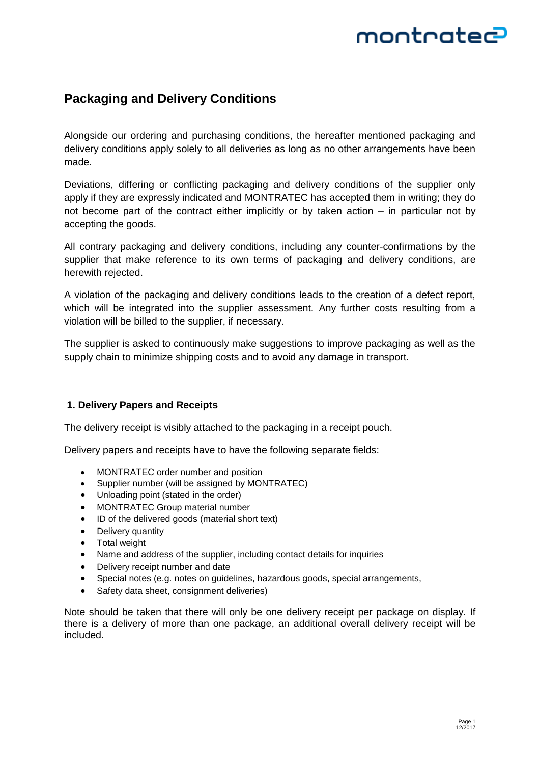## montratec

### **Packaging and Delivery Conditions**

Alongside our ordering and purchasing conditions, the hereafter mentioned packaging and delivery conditions apply solely to all deliveries as long as no other arrangements have been made.

Deviations, differing or conflicting packaging and delivery conditions of the supplier only apply if they are expressly indicated and MONTRATEC has accepted them in writing; they do not become part of the contract either implicitly or by taken action – in particular not by accepting the goods.

All contrary packaging and delivery conditions, including any counter-confirmations by the supplier that make reference to its own terms of packaging and delivery conditions, are herewith rejected.

A violation of the packaging and delivery conditions leads to the creation of a defect report, which will be integrated into the supplier assessment. Any further costs resulting from a violation will be billed to the supplier, if necessary.

The supplier is asked to continuously make suggestions to improve packaging as well as the supply chain to minimize shipping costs and to avoid any damage in transport.

### **1. Delivery Papers and Receipts**

The delivery receipt is visibly attached to the packaging in a receipt pouch.

Delivery papers and receipts have to have the following separate fields:

- MONTRATEC order number and position
- Supplier number (will be assigned by MONTRATEC)
- Unloading point (stated in the order)
- MONTRATEC Group material number
- ID of the delivered goods (material short text)
- Delivery quantity
- Total weight
- Name and address of the supplier, including contact details for inquiries
- Delivery receipt number and date
- Special notes (e.g. notes on guidelines, hazardous goods, special arrangements,
- Safety data sheet, consignment deliveries)

Note should be taken that there will only be one delivery receipt per package on display. If there is a delivery of more than one package, an additional overall delivery receipt will be included.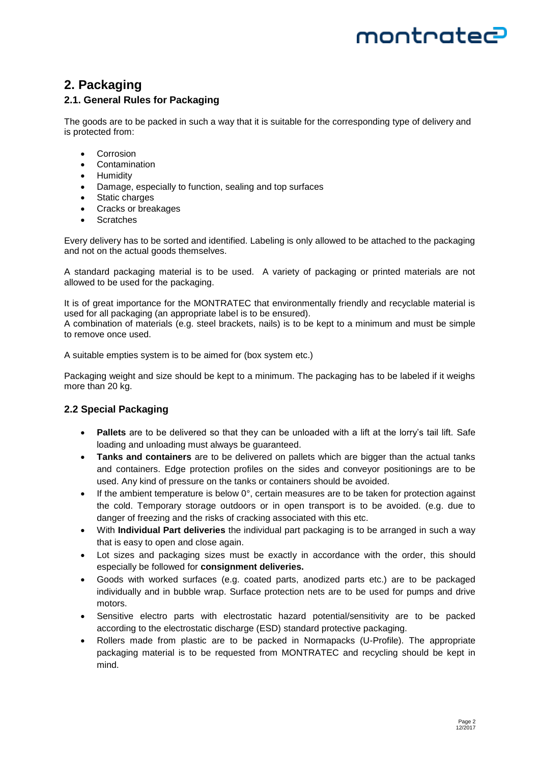# montratec

### **2. Packaging**

### **2.1. General Rules for Packaging**

The goods are to be packed in such a way that it is suitable for the corresponding type of delivery and is protected from:

- **•** Corrosion
- Contamination
- Humidity
- Damage, especially to function, sealing and top surfaces
- Static charges
- Cracks or breakages
- Scratches

Every delivery has to be sorted and identified. Labeling is only allowed to be attached to the packaging and not on the actual goods themselves.

A standard packaging material is to be used. A variety of packaging or printed materials are not allowed to be used for the packaging.

It is of great importance for the MONTRATEC that environmentally friendly and recyclable material is used for all packaging (an appropriate label is to be ensured).

A combination of materials (e.g. steel brackets, nails) is to be kept to a minimum and must be simple to remove once used.

A suitable empties system is to be aimed for (box system etc.)

Packaging weight and size should be kept to a minimum. The packaging has to be labeled if it weighs more than 20 kg.

### **2.2 Special Packaging**

- **Pallets** are to be delivered so that they can be unloaded with a lift at the lorry's tail lift. Safe loading and unloading must always be guaranteed.
- **Tanks and containers** are to be delivered on pallets which are bigger than the actual tanks and containers. Edge protection profiles on the sides and conveyor positionings are to be used. Any kind of pressure on the tanks or containers should be avoided.
- If the ambient temperature is below  $0^\circ$ , certain measures are to be taken for protection against the cold. Temporary storage outdoors or in open transport is to be avoided. (e.g. due to danger of freezing and the risks of cracking associated with this etc.
- With **Individual Part deliveries** the individual part packaging is to be arranged in such a way that is easy to open and close again.
- Lot sizes and packaging sizes must be exactly in accordance with the order, this should especially be followed for **consignment deliveries.**
- Goods with worked surfaces (e.g. coated parts, anodized parts etc.) are to be packaged individually and in bubble wrap. Surface protection nets are to be used for pumps and drive motors.
- Sensitive electro parts with electrostatic hazard potential/sensitivity are to be packed according to the electrostatic discharge (ESD) standard protective packaging.
- Rollers made from plastic are to be packed in Normapacks (U-Profile). The appropriate packaging material is to be requested from MONTRATEC and recycling should be kept in mind.